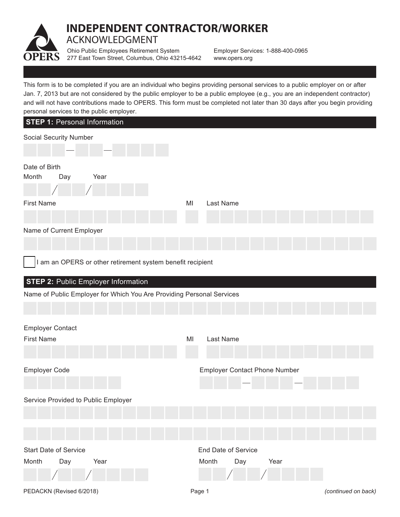

## **INDEPENDENT CONTRACTOR/WORKER** ACKNOWLEDGMENT

Ohio Public Employees Retirement System 277 East Town Street, Columbus, Ohio 43215-4642

Employer Services: 1-888-400-0965 www.opers.org

This form is to be completed if you are an individual who begins providing personal services to a public employer on or after Jan. 7, 2013 but are not considered by the public employer to be a public employee (e.g., you are an independent contractor) and will not have contributions made to OPERS. This form must be completed not later than 30 days after you begin providing personal services to the public employer.

| beisorial services to the bublic employer.                            |    |                                      |
|-----------------------------------------------------------------------|----|--------------------------------------|
| <b>STEP 1: Personal Information</b>                                   |    |                                      |
| <b>Social Security Number</b>                                         |    |                                      |
| Date of Birth<br>Month<br>Year<br>Day                                 |    |                                      |
| <b>First Name</b>                                                     | MI | Last Name                            |
|                                                                       |    |                                      |
| Name of Current Employer                                              |    |                                      |
| I am an OPERS or other retirement system benefit recipient            |    |                                      |
| <b>STEP 2: Public Employer Information</b>                            |    |                                      |
| Name of Public Employer for Which You Are Providing Personal Services |    |                                      |
|                                                                       |    |                                      |
| <b>Employer Contact</b>                                               |    |                                      |
| <b>First Name</b>                                                     | MI | Last Name                            |
| Employer Code                                                         |    | <b>Employer Contact Phone Number</b> |
|                                                                       |    |                                      |
| Service Provided to Public Employer                                   |    |                                      |
|                                                                       |    |                                      |
|                                                                       |    |                                      |
| <b>Start Date of Service</b>                                          |    | <b>End Date of Service</b>           |
| Day<br>Month<br>Year                                                  |    | Month<br>Day<br>Year                 |
|                                                                       |    |                                      |